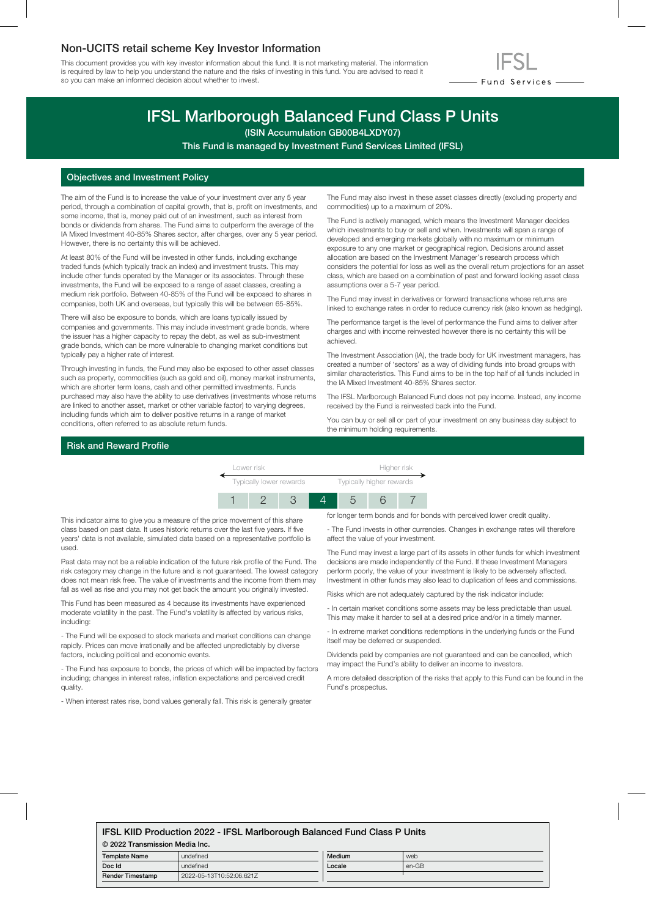## Non-UCITS retail scheme Key Investor Information

This document provides you with key investor information about this fund. It is not marketing material. The information is required by law to help you understand the nature and the risks of investing in this fund. You are advised to read it so you can make an informed decision about whether to invest.



# IFSL Marlborough Balanced Fund Class P Units

(ISIN Accumulation GB00B4LXDY07)

This Fund is managed by Investment Fund Services Limited (IFSL)

## Objectives and Investment Policy

The aim of the Fund is to increase the value of your investment over any 5 year period, through a combination of capital growth, that is, profit on investments, and some income, that is, money paid out of an investment, such as interest from bonds or dividends from shares. The Fund aims to outperform the average of the IA Mixed Investment 40-85% Shares sector, after charges, over any 5 year period. However, there is no certainty this will be achieved.

At least 80% of the Fund will be invested in other funds, including exchange traded funds (which typically track an index) and investment trusts. This may include other funds operated by the Manager or its associates. Through these investments, the Fund will be exposed to a range of asset classes, creating a medium risk portfolio. Between 40-85% of the Fund will be exposed to shares in companies, both UK and overseas, but typically this will be between 65-85%.

There will also be exposure to bonds, which are loans typically issued by companies and governments. This may include investment grade bonds, where the issuer has a higher capacity to repay the debt, as well as sub-investment grade bonds, which can be more vulnerable to changing market conditions but typically pay a higher rate of interest.

Through investing in funds, the Fund may also be exposed to other asset classes such as property, commodities (such as gold and oil), money market instruments, which are shorter term loans, cash and other permitted investments. Funds purchased may also have the ability to use derivatives (investments whose returns are linked to another asset, market or other variable factor) to varying degrees, including funds which aim to deliver positive returns in a range of market conditions, often referred to as absolute return funds.

The Fund may also invest in these asset classes directly (excluding property and commodities) up to a maximum of 20%.

The Fund is actively managed, which means the Investment Manager decides which investments to buy or sell and when. Investments will span a range of developed and emerging markets globally with no maximum or minimum exposure to any one market or geographical region. Decisions around asset allocation are based on the Investment Manager's research process which considers the potential for loss as well as the overall return projections for an asset class, which are based on a combination of past and forward looking asset class assumptions over a 5-7 year period.

The Fund may invest in derivatives or forward transactions whose returns are linked to exchange rates in order to reduce currency risk (also known as hedging).

The performance target is the level of performance the Fund aims to deliver after charges and with income reinvested however there is no certainty this will be achieved.

The Investment Association (IA), the trade body for UK investment managers, has created a number of 'sectors' as a way of dividing funds into broad groups with similar characteristics. This Fund aims to be in the top half of all funds included in the IA Mixed Investment 40-85% Shares sector.

The IFSL Marlborough Balanced Fund does not pay income. Instead, any income received by the Fund is reinvested back into the Fund.

You can buy or sell all or part of your investment on any business day subject to the minimum holding requirements.

#### Risk and Reward Profile

| Lower risk              |  |  |  | Higher risk              |  |  |
|-------------------------|--|--|--|--------------------------|--|--|
| Typically lower rewards |  |  |  | Typically higher rewards |  |  |
|                         |  |  |  |                          |  |  |

This indicator aims to give you a measure of the price movement of this share class based on past data. It uses historic returns over the last five years. If five years' data is not available, simulated data based on a representative portfolio is used.

Past data may not be a reliable indication of the future risk profile of the Fund. The risk category may change in the future and is not guaranteed. The lowest category does not mean risk free. The value of investments and the income from them may fall as well as rise and you may not get back the amount you originally invested.

This Fund has been measured as 4 because its investments have experienced moderate volatility in the past. The Fund's volatility is affected by various risks, including:

- The Fund will be exposed to stock markets and market conditions can change rapidly. Prices can move irrationally and be affected unpredictably by diverse factors, including political and economic events.

- The Fund has exposure to bonds, the prices of which will be impacted by factors including; changes in interest rates, inflation expectations and perceived credit quality.

- When interest rates rise, bond values generally fall. This risk is generally greater

for longer term bonds and for bonds with perceived lower credit quality.

- The Fund invests in other currencies. Changes in exchange rates will therefore affect the value of your investment.

The Fund may invest a large part of its assets in other funds for which investment decisions are made independently of the Fund. If these Investment Managers perform poorly, the value of your investment is likely to be adversely affected. Investment in other funds may also lead to duplication of fees and commissions.

Risks which are not adequately captured by the risk indicator include:

- In certain market conditions some assets may be less predictable than usual. This may make it harder to sell at a desired price and/or in a timely manner.

- In extreme market conditions redemptions in the underlying funds or the Fund itself may be deferred or suspended.

Dividends paid by companies are not guaranteed and can be cancelled, which may impact the Fund's ability to deliver an income to investors.

A more detailed description of the risks that apply to this Fund can be found in the Fund's prospectus.